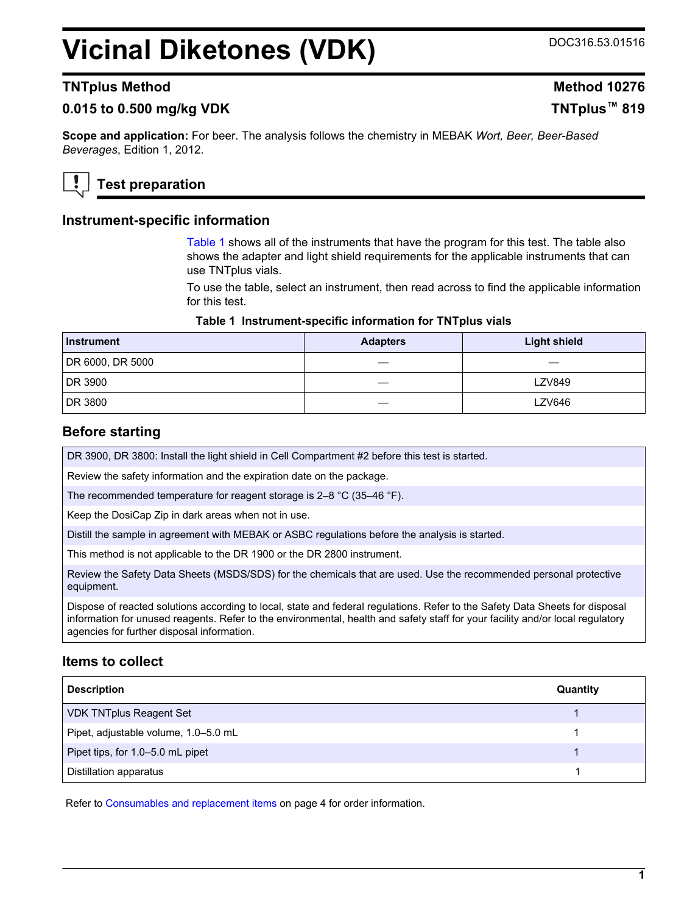# **Vicinal Diketones (VDK)** DOC316.53.01516

# **TNTplus Method Method Method Method Method Method Method Method Method**

# **0.015 to 0.500 mg/kg VDK TNTplus™ 819**

**Scope and application:** For beer. The analysis follows the chemistry in MEBAK *Wort, Beer, Beer-Based Beverages*, Edition 1, 2012.



# **Test preparation**

#### **Instrument-specific information**

Table 1 shows all of the instruments that have the program for this test. The table also shows the adapter and light shield requirements for the applicable instruments that can use TNTplus vials.

To use the table, select an instrument, then read across to find the applicable information for this test.

#### **Table 1 Instrument-specific information for TNTplus vials**

| Instrument       | <b>Adapters</b> | <b>Light shield</b> |
|------------------|-----------------|---------------------|
| DR 6000, DR 5000 |                 |                     |
| DR 3900          |                 | <b>LZV849</b>       |
| DR 3800          |                 | LZV646              |

## **Before starting**

DR 3900, DR 3800: Install the light shield in Cell Compartment #2 before this test is started.

Review the safety information and the expiration date on the package.

The recommended temperature for reagent storage is 2–8 °C (35–46 °F).

Keep the DosiCap Zip in dark areas when not in use.

Distill the sample in agreement with MEBAK or ASBC regulations before the analysis is started.

This method is not applicable to the DR 1900 or the DR 2800 instrument.

Review the Safety Data Sheets (MSDS/SDS) for the chemicals that are used. Use the recommended personal protective equipment.

Dispose of reacted solutions according to local, state and federal regulations. Refer to the Safety Data Sheets for disposal information for unused reagents. Refer to the environmental, health and safety staff for your facility and/or local regulatory agencies for further disposal information.

## **Items to collect**

| <b>Description</b>                   | Quantity |
|--------------------------------------|----------|
| <b>VDK TNTplus Reagent Set</b>       |          |
| Pipet, adjustable volume, 1.0-5.0 mL |          |
| Pipet tips, for 1.0–5.0 mL pipet     |          |
| Distillation apparatus               |          |

Refer to [Consumables and replacement items](#page-3-0) on page 4 for order information.

**1**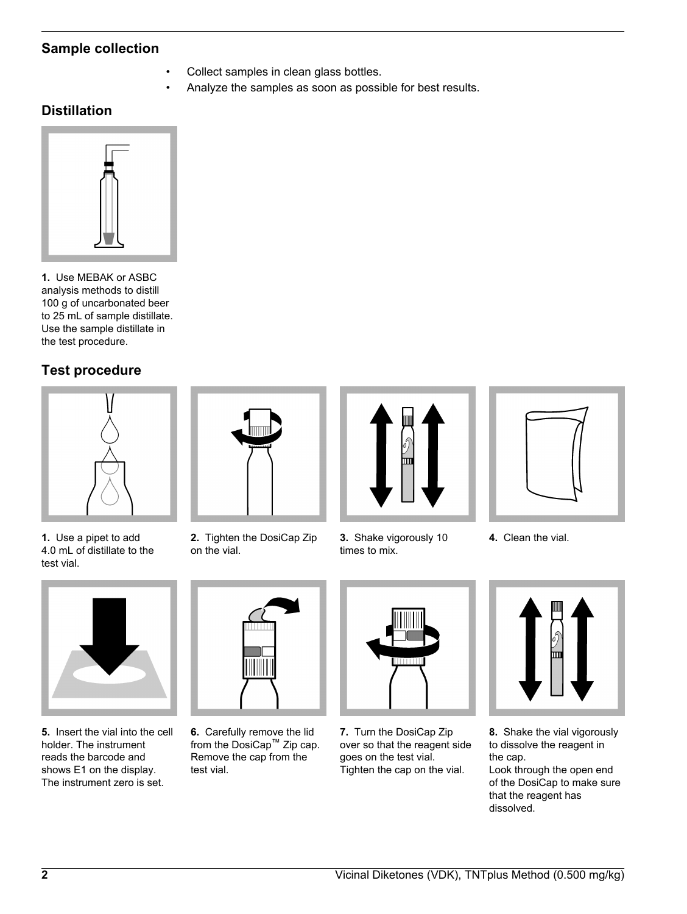# **Sample collection**

- Collect samples in clean glass bottles.
- Analyze the samples as soon as possible for best results.

# **Distillation**



**1.** Use MEBAK or ASBC analysis methods to distill 100 g of uncarbonated beer to 25 mL of sample distillate. Use the sample distillate in the test procedure.

# **Test procedure**





**2.** Tighten the DosiCap Zip

on the vial.

**1.** Use a pipet to add 4.0 mL of distillate to the test vial.



**5.** Insert the vial into the cell holder. The instrument reads the barcode and shows E1 on the display. The instrument zero is set.



**6.** Carefully remove the lid from the DosiCap™ Zip cap. Remove the cap from the test vial.



**3.** Shake vigorously 10 times to mix.







**7.** Turn the DosiCap Zip over so that the reagent side goes on the test vial. Tighten the cap on the vial.



**8.** Shake the vial vigorously to dissolve the reagent in the cap.

Look through the open end of the DosiCap to make sure that the reagent has dissolved.



**2** Vicinal Diketones (VDK), TNTplus Method (0.500 mg/kg)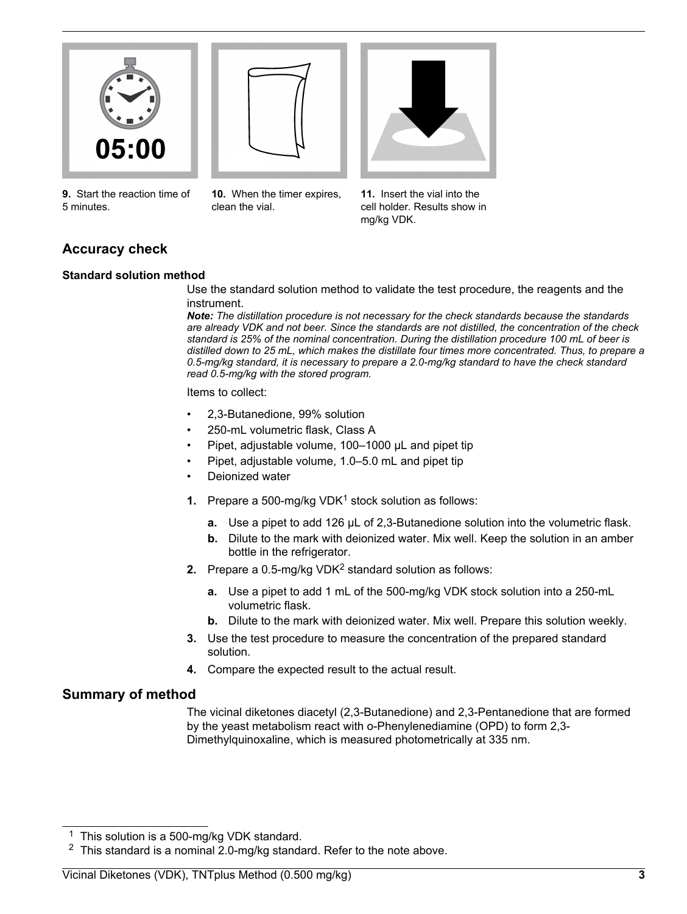



**9.** Start the reaction time of 5 minutes.

**10.** When the timer expires, clean the vial.



**11.** Insert the vial into the cell holder. Results show in mg/kg VDK.

# **Accuracy check**

#### **Standard solution method**

Use the standard solution method to validate the test procedure, the reagents and the instrument.

*Note: The distillation procedure is not necessary for the check standards because the standards are already VDK and not beer. Since the standards are not distilled, the concentration of the check standard is 25% of the nominal concentration. During the distillation procedure 100 mL of beer is distilled down to 25 mL, which makes the distillate four times more concentrated. Thus, to prepare a 0.5-mg/kg standard, it is necessary to prepare a 2.0-mg/kg standard to have the check standard read 0.5-mg/kg with the stored program.*

Items to collect:

- 2,3-Butanedione, 99% solution
- 250-mL volumetric flask, Class A
- Pipet, adjustable volume, 100–1000 µL and pipet tip
- Pipet, adjustable volume, 1.0–5.0 mL and pipet tip
- Deionized water
- **1.** Prepare a 500-mg/kg VDK<sup>1</sup> stock solution as follows:
	- **a.** Use a pipet to add 126 µL of 2,3-Butanedione solution into the volumetric flask.
	- **b.** Dilute to the mark with deionized water. Mix well. Keep the solution in an amber bottle in the refrigerator.
- **2.** Prepare a 0.5-mg/kg VDK<sup>2</sup> standard solution as follows:
	- **a.** Use a pipet to add 1 mL of the 500-mg/kg VDK stock solution into a 250-mL volumetric flask.
	- **b.** Dilute to the mark with deionized water. Mix well. Prepare this solution weekly.
- **3.** Use the test procedure to measure the concentration of the prepared standard solution.
- **4.** Compare the expected result to the actual result.

## **Summary of method**

The vicinal diketones diacetyl (2,3-Butanedione) and 2,3-Pentanedione that are formed by the yeast metabolism react with o-Phenylenediamine (OPD) to form 2,3- Dimethylquinoxaline, which is measured photometrically at 335 nm.

<sup>1</sup> This solution is a 500-mg/kg VDK standard.

 $2$  This standard is a nominal 2.0-mg/kg standard. Refer to the note above.